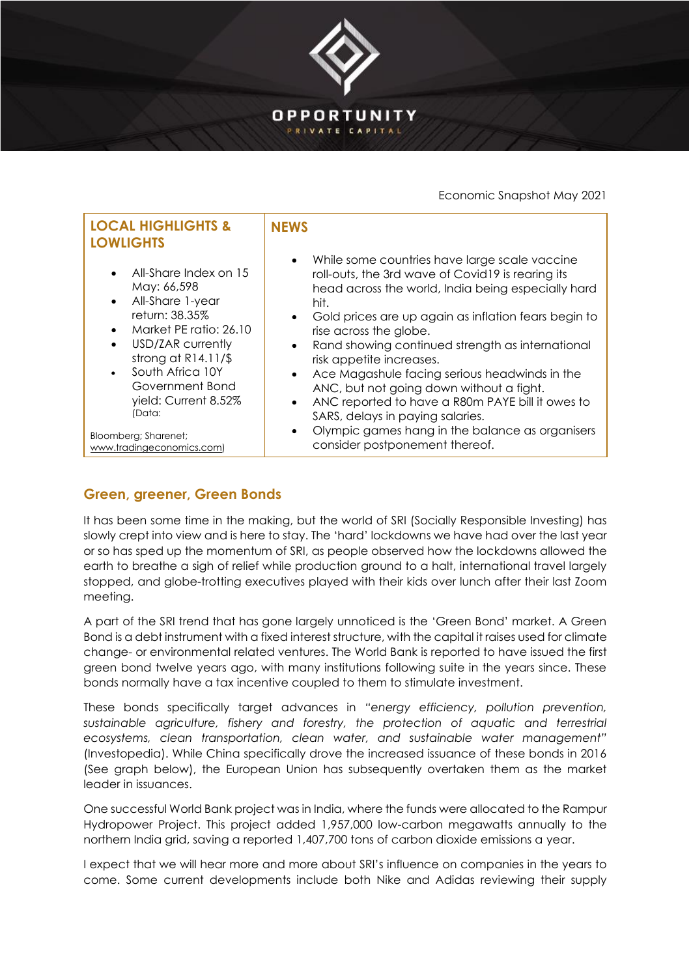

Economic Snapshot May 2021

| <b>LOCAL HIGHLIGHTS &amp;</b><br><b>LOWLIGHTS</b>                                                                                                                                                                                                                                                                       | <b>NFWS</b>                                                                                                                                                                                                                                                                                                                                                                                                                                                                                                                                                                                                                            |
|-------------------------------------------------------------------------------------------------------------------------------------------------------------------------------------------------------------------------------------------------------------------------------------------------------------------------|----------------------------------------------------------------------------------------------------------------------------------------------------------------------------------------------------------------------------------------------------------------------------------------------------------------------------------------------------------------------------------------------------------------------------------------------------------------------------------------------------------------------------------------------------------------------------------------------------------------------------------------|
| All-Share Index on 15<br>$\bullet$<br>May: 66,598<br>All-Share 1-year<br>$\bullet$<br>return: 38.35%<br>Market PE ratio: 26.10<br>USD/ZAR currently<br>$\bullet$<br>strong at $R14.11/\$$<br>South Africa 10Y<br>Government Bond<br>yield: Current 8.52%<br>(Data:<br>Bloomberg; Sharenet;<br>www.tradingeconomics.com) | While some countries have large scale vaccine<br>roll-outs, the 3rd wave of Covid19 is rearing its<br>head across the world, India being especially hard<br>hit.<br>Gold prices are up again as inflation fears begin to<br>rise across the globe.<br>Rand showing continued strength as international<br>$\bullet$<br>risk appetite increases.<br>Ace Magashule facing serious headwinds in the<br>ANC, but not going down without a fight.<br>ANC reported to have a R80m PAYE bill it owes to<br>$\bullet$<br>SARS, delays in paying salaries.<br>Olympic games hang in the balance as organisers<br>consider postponement thereof. |
|                                                                                                                                                                                                                                                                                                                         |                                                                                                                                                                                                                                                                                                                                                                                                                                                                                                                                                                                                                                        |

## **Green, greener, Green Bonds**

It has been some time in the making, but the world of SRI (Socially Responsible Investing) has slowly crept into view and is here to stay. The 'hard' lockdowns we have had over the last year or so has sped up the momentum of SRI, as people observed how the lockdowns allowed the earth to breathe a sigh of relief while production ground to a halt, international travel largely stopped, and globe-trotting executives played with their kids over lunch after their last Zoom meeting.

A part of the SRI trend that has gone largely unnoticed is the 'Green Bond' market. A Green Bond is a debt instrument with a fixed interest structure, with the capital it raises used for climate change- or environmental related ventures. The World Bank is reported to have issued the first green bond twelve years ago, with many institutions following suite in the years since. These bonds normally have a tax incentive coupled to them to stimulate investment.

These bonds specifically target advances in *"energy efficiency, pollution prevention, sustainable agriculture, fishery and forestry, the protection of aquatic and terrestrial ecosystems, clean transportation, clean water, and sustainable water management"*  (Investopedia). While China specifically drove the increased issuance of these bonds in 2016 (See graph below), the European Union has subsequently overtaken them as the market leader in issuances.

One successful World Bank project was in India, where the funds were allocated to the Rampur Hydropower Project. This project added 1,957,000 low-carbon megawatts annually to the northern India grid, saving a reported 1,407,700 tons of carbon dioxide emissions a year.

I expect that we will hear more and more about SRI's influence on companies in the years to come. Some current developments include both Nike and Adidas reviewing their supply